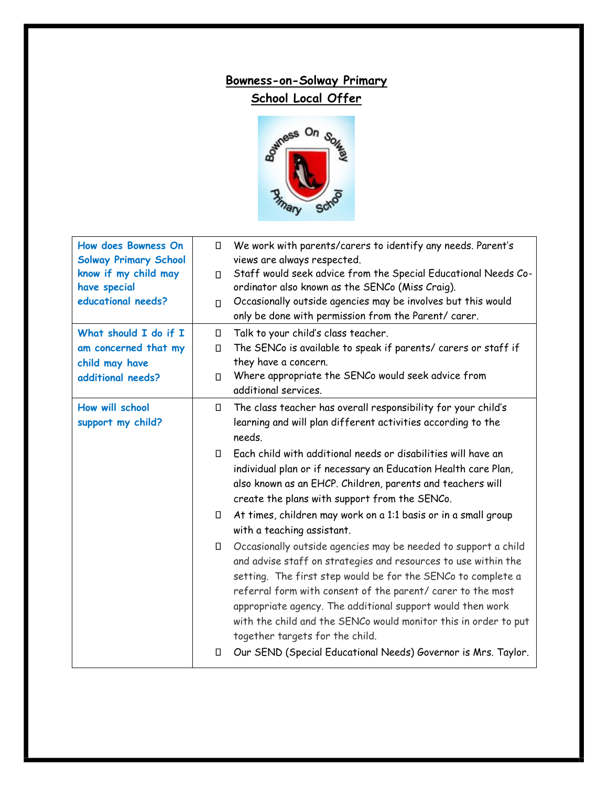## **Bowness-on-Solway Primary School Local Offer**



| How does Bowness On<br><b>Solway Primary School</b><br>know if my child may<br>have special<br>educational needs? | П<br>$\Box$<br>$\Box$ | We work with parents/carers to identify any needs. Parent's<br>views are always respected.<br>Staff would seek advice from the Special Educational Needs Co-<br>ordinator also known as the SENCo (Miss Craig).<br>Occasionally outside agencies may be involves but this would<br>only be done with permission from the Parent/ carer.                                                                                             |
|-------------------------------------------------------------------------------------------------------------------|-----------------------|-------------------------------------------------------------------------------------------------------------------------------------------------------------------------------------------------------------------------------------------------------------------------------------------------------------------------------------------------------------------------------------------------------------------------------------|
| What should I do if I                                                                                             | $\Box$                | Talk to your child's class teacher.                                                                                                                                                                                                                                                                                                                                                                                                 |
| am concerned that my                                                                                              | П.                    | The SENCo is available to speak if parents/ carers or staff if                                                                                                                                                                                                                                                                                                                                                                      |
| child may have                                                                                                    |                       | they have a concern.                                                                                                                                                                                                                                                                                                                                                                                                                |
| additional needs?                                                                                                 | Π.                    | Where appropriate the SENCo would seek advice from                                                                                                                                                                                                                                                                                                                                                                                  |
|                                                                                                                   |                       | additional services.                                                                                                                                                                                                                                                                                                                                                                                                                |
| How will school                                                                                                   | $\Box$                | The class teacher has overall responsibility for your child's                                                                                                                                                                                                                                                                                                                                                                       |
| support my child?                                                                                                 |                       | learning and will plan different activities according to the<br>needs.                                                                                                                                                                                                                                                                                                                                                              |
|                                                                                                                   | Π.                    | Each child with additional needs or disabilities will have an<br>individual plan or if necessary an Education Health care Plan,<br>also known as an EHCP. Children, parents and teachers will<br>create the plans with support from the SENCo.                                                                                                                                                                                      |
|                                                                                                                   | 0.                    | At times, children may work on a 1:1 basis or in a small group<br>with a teaching assistant.                                                                                                                                                                                                                                                                                                                                        |
|                                                                                                                   | Π.                    | Occasionally outside agencies may be needed to support a child<br>and advise staff on strategies and resources to use within the<br>setting. The first step would be for the SENCo to complete a<br>referral form with consent of the parent/ carer to the most<br>appropriate agency. The additional support would then work<br>with the child and the SENCo would monitor this in order to put<br>together targets for the child. |
|                                                                                                                   | □                     | Our SEND (Special Educational Needs) Governor is Mrs. Taylor.                                                                                                                                                                                                                                                                                                                                                                       |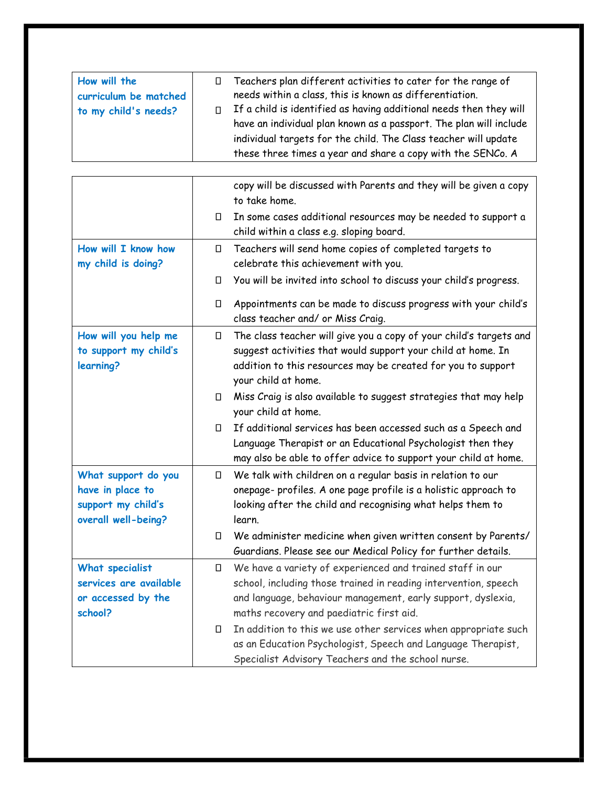| How will the<br>curriculum be matched<br>to my child's needs? |  | Teachers plan different activities to cater for the range of<br>needs within a class, this is known as differentiation.<br>$\Box$ If a child is identified as having additional needs then they will<br>have an individual plan known as a passport. The plan will include<br>individual targets for the child. The Class teacher will update<br>these three times a year and share a copy with the SENCo. A |
|---------------------------------------------------------------|--|--------------------------------------------------------------------------------------------------------------------------------------------------------------------------------------------------------------------------------------------------------------------------------------------------------------------------------------------------------------------------------------------------------------|
|---------------------------------------------------------------|--|--------------------------------------------------------------------------------------------------------------------------------------------------------------------------------------------------------------------------------------------------------------------------------------------------------------------------------------------------------------------------------------------------------------|

|                                                                                      |        | copy will be discussed with Parents and they will be given a copy<br>to take home.                                                                                                                                                       |
|--------------------------------------------------------------------------------------|--------|------------------------------------------------------------------------------------------------------------------------------------------------------------------------------------------------------------------------------------------|
|                                                                                      | Π.     | In some cases additional resources may be needed to support a<br>child within a class e.g. sloping board.                                                                                                                                |
| How will I know how<br>my child is doing?                                            | Π.     | Teachers will send home copies of completed targets to<br>celebrate this achievement with you.                                                                                                                                           |
|                                                                                      | Π.     | You will be invited into school to discuss your child's progress.                                                                                                                                                                        |
|                                                                                      | $\Box$ | Appointments can be made to discuss progress with your child's<br>class teacher and/ or Miss Craig.                                                                                                                                      |
| How will you help me<br>to support my child's<br>learning?                           | Π.     | The class teacher will give you a copy of your child's targets and<br>suggest activities that would support your child at home. In<br>addition to this resources may be created for you to support<br>your child at home.                |
|                                                                                      | 0      | Miss Craig is also available to suggest strategies that may help<br>your child at home.                                                                                                                                                  |
|                                                                                      | П.     | If additional services has been accessed such as a Speech and<br>Language Therapist or an Educational Psychologist then they<br>may also be able to offer advice to support your child at home.                                          |
| What support do you<br>have in place to<br>support my child's<br>overall well-being? | 0      | We talk with children on a regular basis in relation to our<br>onepage- profiles. A one page profile is a holistic approach to<br>looking after the child and recognising what helps them to<br>learn.                                   |
|                                                                                      | Π.     | We administer medicine when given written consent by Parents/<br>Guardians. Please see our Medical Policy for further details.                                                                                                           |
| What specialist<br>services are available<br>or accessed by the<br>school?           | П.     | We have a variety of experienced and trained staff in our<br>school, including those trained in reading intervention, speech<br>and language, behaviour management, early support, dyslexia,<br>maths recovery and paediatric first aid. |
|                                                                                      | П.     | In addition to this we use other services when appropriate such<br>as an Education Psychologist, Speech and Language Therapist,<br>Specialist Advisory Teachers and the school nurse.                                                    |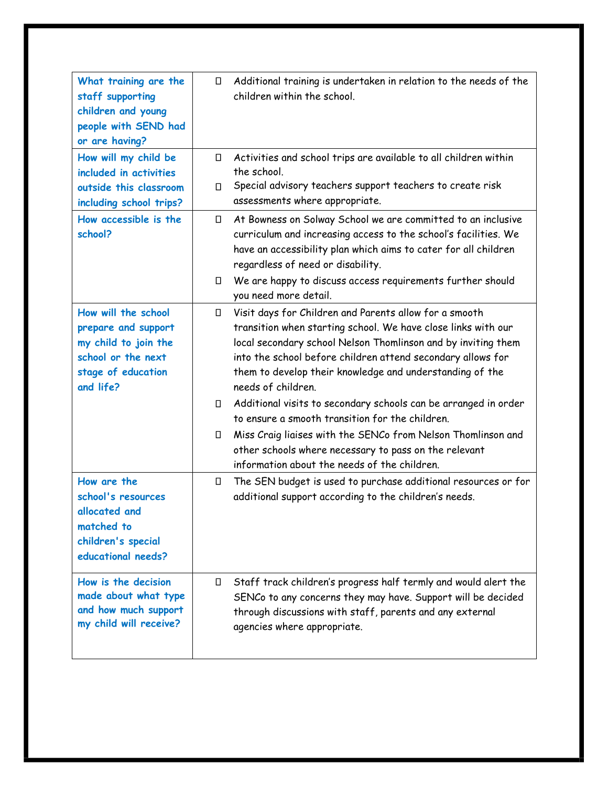| What training are the<br>staff supporting<br>children and young<br>people with SEND had<br>or are having?                   | Π.                    | Additional training is undertaken in relation to the needs of the<br>children within the school.                                                                                                                                                                                                                                                                                                                                                                                                                                                                                                                                         |
|-----------------------------------------------------------------------------------------------------------------------------|-----------------------|------------------------------------------------------------------------------------------------------------------------------------------------------------------------------------------------------------------------------------------------------------------------------------------------------------------------------------------------------------------------------------------------------------------------------------------------------------------------------------------------------------------------------------------------------------------------------------------------------------------------------------------|
| How will my child be<br>included in activities<br>outside this classroom<br>including school trips?                         | $\Box$<br>$\Box$      | Activities and school trips are available to all children within<br>the school.<br>Special advisory teachers support teachers to create risk<br>assessments where appropriate.                                                                                                                                                                                                                                                                                                                                                                                                                                                           |
| How accessible is the<br>school?                                                                                            | $\Box$<br>$\Box$      | At Bowness on Solway School we are committed to an inclusive<br>curriculum and increasing access to the school's facilities. We<br>have an accessibility plan which aims to cater for all children<br>regardless of need or disability.<br>We are happy to discuss access requirements further should<br>you need more detail.                                                                                                                                                                                                                                                                                                           |
| How will the school<br>prepare and support<br>my child to join the<br>school or the next<br>stage of education<br>and life? | $\Box$<br>0<br>$\Box$ | Visit days for Children and Parents allow for a smooth<br>transition when starting school. We have close links with our<br>local secondary school Nelson Thomlinson and by inviting them<br>into the school before children attend secondary allows for<br>them to develop their knowledge and understanding of the<br>needs of children.<br>Additional visits to secondary schools can be arranged in order<br>to ensure a smooth transition for the children.<br>Miss Craig liaises with the SENCo from Nelson Thomlinson and<br>other schools where necessary to pass on the relevant<br>information about the needs of the children. |
| How are the<br>school's resources<br>allocated and<br>matched to<br>children's special<br>educational needs?                | П                     | The SEN budget is used to purchase additional resources or for<br>additional support according to the children's needs.                                                                                                                                                                                                                                                                                                                                                                                                                                                                                                                  |
| How is the decision<br>made about what type<br>and how much support<br>my child will receive?                               | $\Box$                | Staff track children's progress half termly and would alert the<br>SENCo to any concerns they may have. Support will be decided<br>through discussions with staff, parents and any external<br>agencies where appropriate.                                                                                                                                                                                                                                                                                                                                                                                                               |